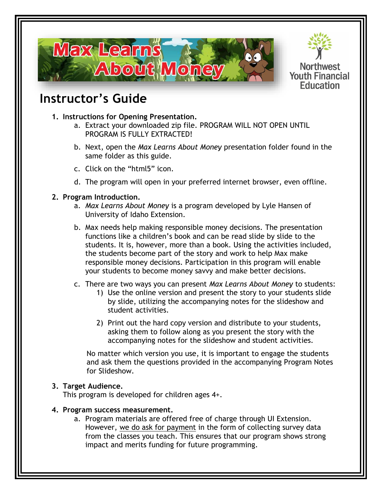



# **Instructor's Guide**

- **1. Instructions for Opening Presentation.**
	- a. Extract your downloaded zip file. PROGRAM WILL NOT OPEN UNTIL PROGRAM IS FULLY EXTRACTED!
	- b. Next, open the *Max Learns About Money* presentation folder found in the same folder as this guide.
	- c. Click on the "html5" icon.
	- d. The program will open in your preferred internet browser, even offline.

## **2. Program Introduction.**

- a. *Max Learns About Money* is a program developed by Lyle Hansen of University of Idaho Extension.
- b. Max needs help making responsible money decisions. The presentation functions like a children's book and can be read slide by slide to the students. It is, however, more than a book. Using the activities included, the students become part of the story and work to help Max make responsible money decisions. Participation in this program will enable your students to become money savvy and make better decisions.
- c. There are two ways you can present *Max Learns About Money* to students:
	- 1) Use the online version and present the story to your students slide by slide, utilizing the accompanying notes for the slideshow and student activities.
	- 2) Print out the hard copy version and distribute to your students, asking them to follow along as you present the story with the accompanying notes for the slideshow and student activities.

No matter which version you use, it is important to engage the students and ask them the questions provided in the accompanying Program Notes for Slideshow.

# **3. Target Audience.**

This program is developed for children ages 4+.

#### **4. Program success measurement.**

a. Program materials are offered free of charge through UI Extension. However, we do ask for payment in the form of collecting survey data from the classes you teach. This ensures that our program shows strong impact and merits funding for future programming.